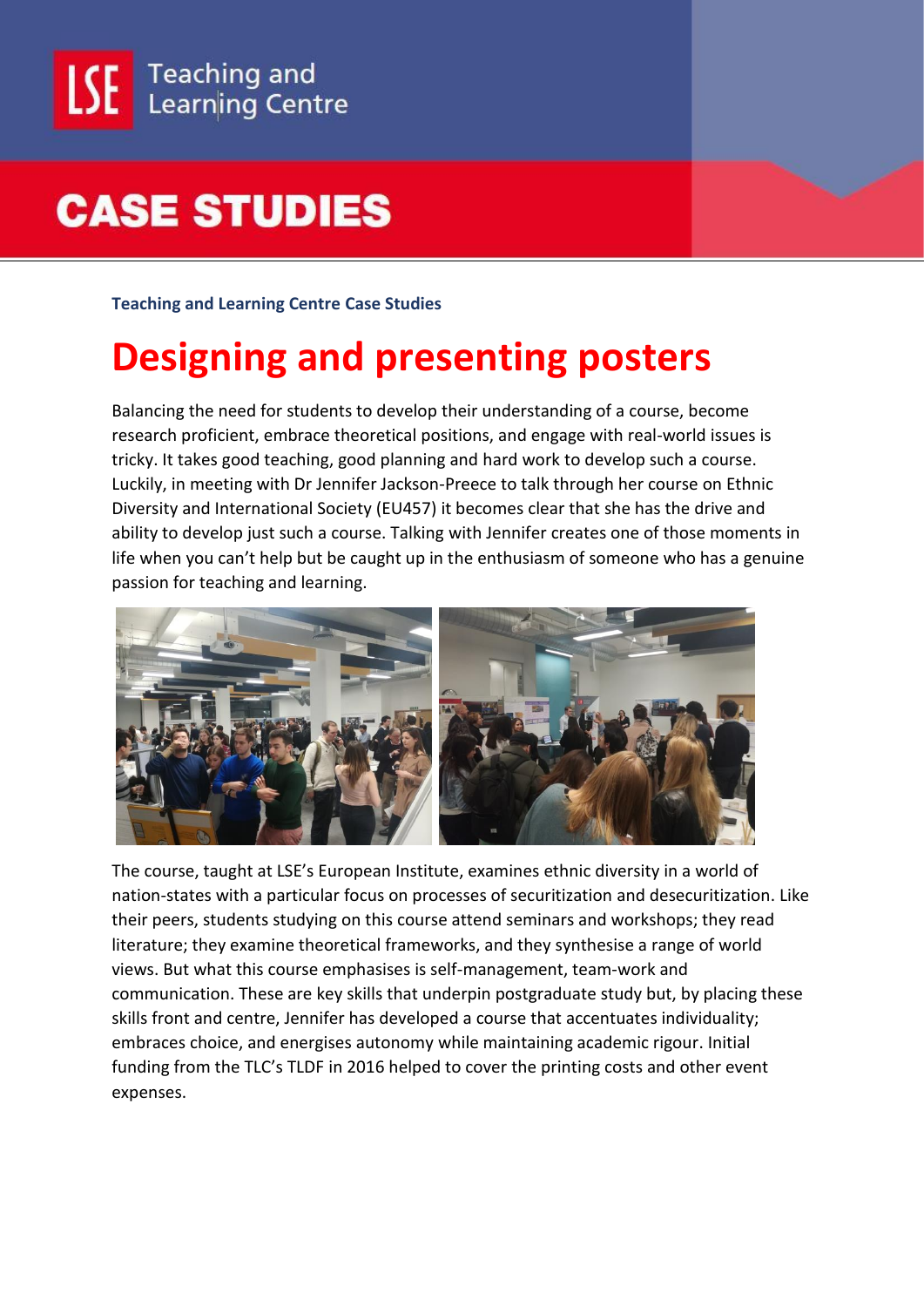**Teaching and Learning Centre Case Studies**

#### **Designing and presenting posters**

Balancing the need for students to develop their understanding of a course, become research proficient, embrace theoretical positions, and engage with real-world issues is tricky. It takes good teaching, good planning and hard work to develop such a course. Luckily, in meeting with Dr Jennifer Jackson-Preece to talk through her course on Ethnic Diversity and International Society (EU457) it becomes clear that she has the drive and ability to develop just such a course. Talking with Jennifer creates one of those moments in life when you can't help but be caught up in the enthusiasm of someone who has a genuine passion for teaching and learning.



The course, taught at LSE's European Institute, examines ethnic diversity in a world of nation-states with a particular focus on processes of securitization and desecuritization. Like their peers, students studying on this course attend seminars and workshops; they read literature; they examine theoretical frameworks, and they synthesise a range of world views. But what this course emphasises is self-management, team-work and communication. These are key skills that underpin postgraduate study but, by placing these skills front and centre, Jennifer has developed a course that accentuates individuality; embraces choice, and energises autonomy while maintaining academic rigour. Initial funding from the TLC's TLDF in 2016 helped to cover the printing costs and other event expenses.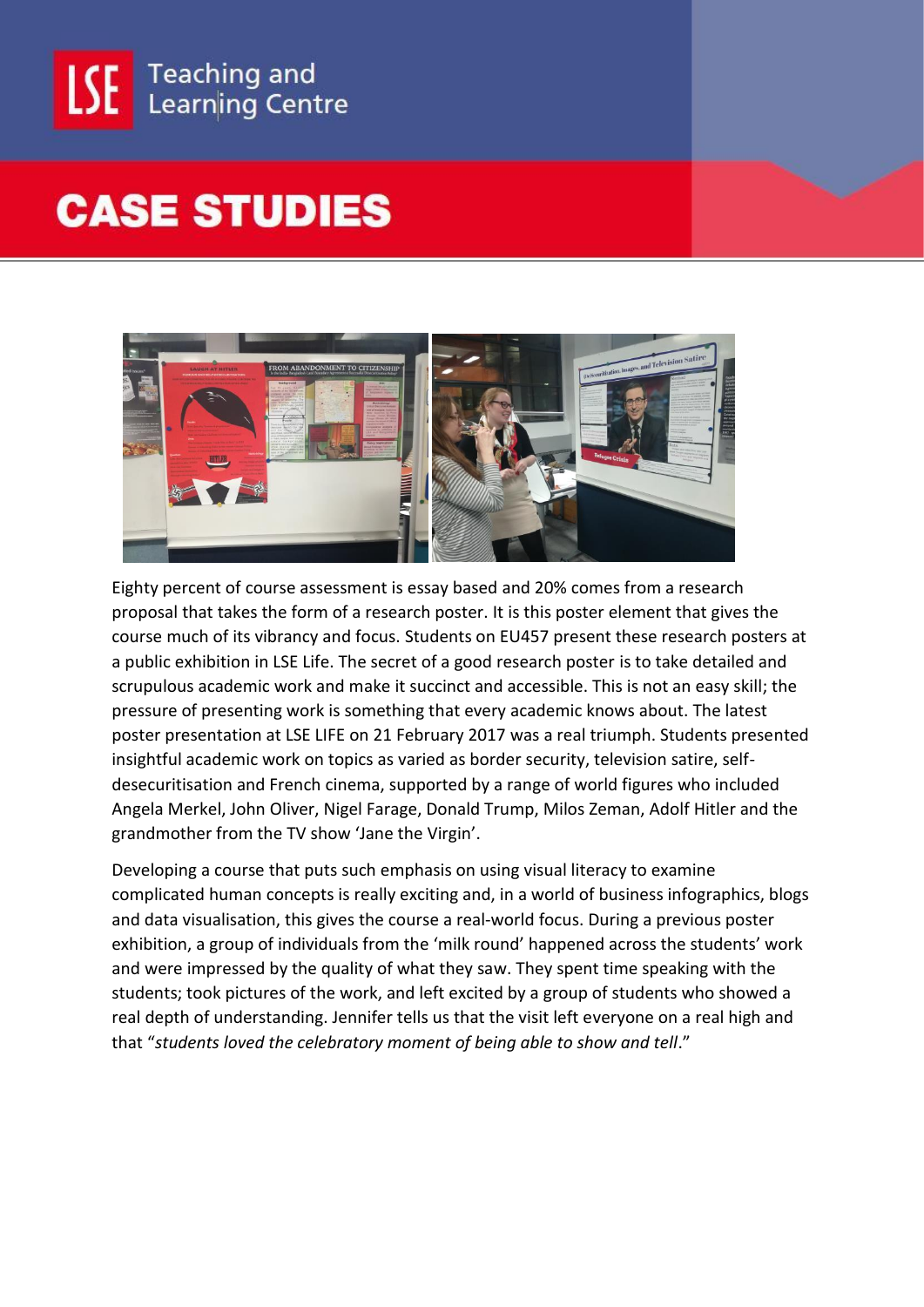



Eighty percent of course assessment is essay based and 20% comes from a research proposal that takes the form of a research poster. It is this poster element that gives the course much of its vibrancy and focus. Students on EU457 present these research posters at a public exhibition in LSE Life. The secret of a good research poster is to take detailed and scrupulous academic work and make it succinct and accessible. This is not an easy skill; the pressure of presenting work is something that every academic knows about. The latest poster presentation at LSE LIFE on 21 February 2017 was a real triumph. Students presented insightful academic work on topics as varied as border security, television satire, selfdesecuritisation and French cinema, supported by a range of world figures who included Angela Merkel, John Oliver, Nigel Farage, Donald Trump, Milos Zeman, Adolf Hitler and the grandmother from the TV show 'Jane the Virgin'.

Developing a course that puts such emphasis on using visual literacy to examine complicated human concepts is really exciting and, in a world of business infographics, blogs and data visualisation, this gives the course a real-world focus. During a previous poster exhibition, a group of individuals from the 'milk round' happened across the students' work and were impressed by the quality of what they saw. They spent time speaking with the students; took pictures of the work, and left excited by a group of students who showed a real depth of understanding. Jennifer tells us that the visit left everyone on a real high and that "*students loved the celebratory moment of being able to show and tell*."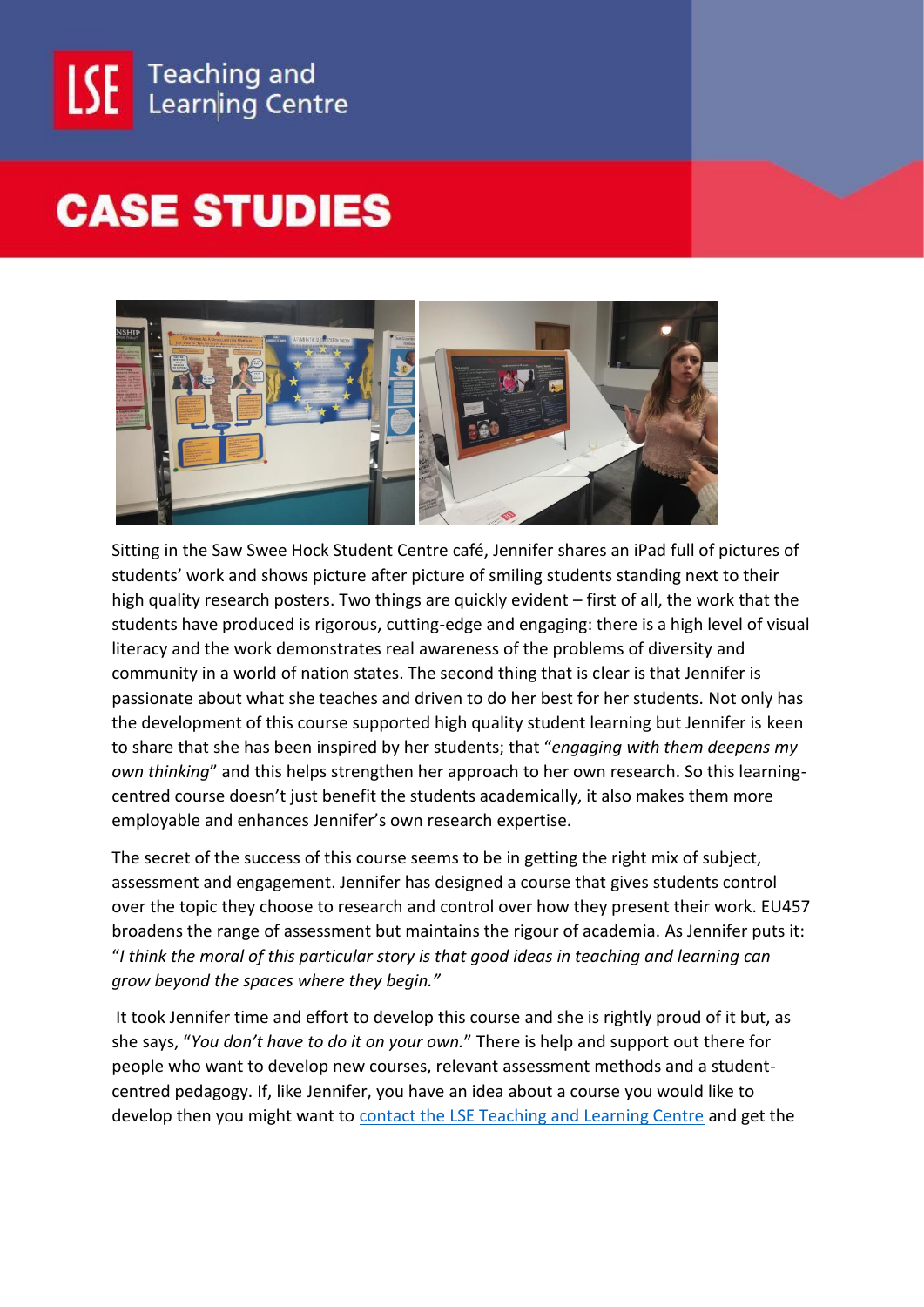



Sitting in the Saw Swee Hock Student Centre café, Jennifer shares an iPad full of pictures of students' work and shows picture after picture of smiling students standing next to their high quality research posters. Two things are quickly evident – first of all, the work that the students have produced is rigorous, cutting-edge and engaging: there is a high level of visual literacy and the work demonstrates real awareness of the problems of diversity and community in a world of nation states. The second thing that is clear is that Jennifer is passionate about what she teaches and driven to do her best for her students. Not only has the development of this course supported high quality student learning but Jennifer is keen to share that she has been inspired by her students; that "*engaging with them deepens my own thinking*" and this helps strengthen her approach to her own research. So this learningcentred course doesn't just benefit the students academically, it also makes them more employable and enhances Jennifer's own research expertise.

The secret of the success of this course seems to be in getting the right mix of subject, assessment and engagement. Jennifer has designed a course that gives students control over the topic they choose to research and control over how they present their work. EU457 broadens the range of assessment but maintains the rigour of academia. As Jennifer puts it: "*I think the moral of this particular story is that good ideas in teaching and learning can grow beyond the spaces where they begin."*

It took Jennifer time and effort to develop this course and she is rightly proud of it but, as she says, "*You don't have to do it on your own.*" There is help and support out there for people who want to develop new courses, relevant assessment methods and a studentcentred pedagogy. If, like Jennifer, you have an idea about a course you would like to develop then you might want to [contact the LSE Teaching and Learning Centre](mailto:tlc@lse.ac.uk) and get the